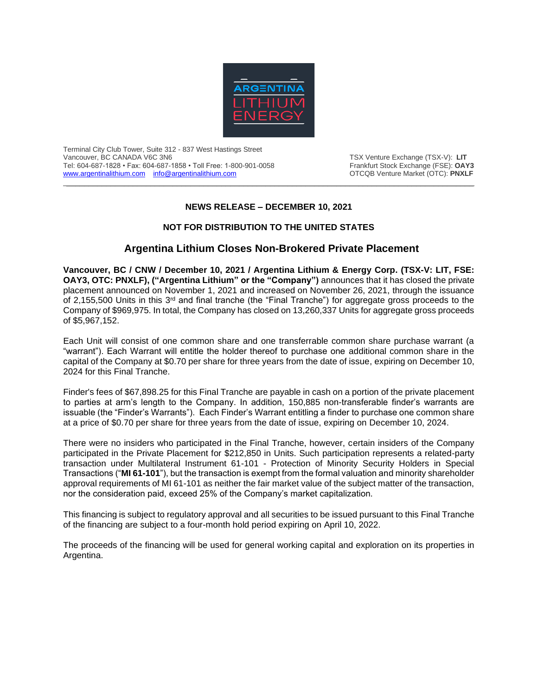

Terminal City Club Tower, Suite 312 - 837 West Hastings Street Vancouver, BC CANADA V6C 3N6<br>Tel: 604-687-1828 • Fax: 604-687-1858 • Toll Free: 1-800-901-0058 Trankfurt Stock Exchange (FSE): **OAY3** Tel: 604-687-1828 • Fax: 604-687-1858 • Toll Free: 1-800-901-0058 Frankfurt Stock Exchange (FSE): **OAY3**<br>www.argentinalithium.com info@argentinalithium.com **Frankfurt Stock Exchange (FSE):** PNXLF [www.argentinalithium.com](http://www.argentinalithium.com/) [info@argentinalithium.com](mailto:info@argentinalithium.com)

## **NEWS RELEASE – DECEMBER 10, 2021**

 $\_$  , and the state of the state of the state of the state of the state of the state of the state of the state of the state of the state of the state of the state of the state of the state of the state of the state of the

## **NOT FOR DISTRIBUTION TO THE UNITED STATES**

## **Argentina Lithium Closes Non-Brokered Private Placement**

**Vancouver, BC / CNW / December 10, 2021 / Argentina Lithium & Energy Corp. (TSX-V: LIT, FSE: OAY3, OTC: PNXLF), ("Argentina Lithium" or the "Company")** announces that it has closed the private placement announced on November 1, 2021 and increased on November 26, 2021, through the issuance of 2,155,500 Units in this 3<sup>rd</sup> and final tranche (the "Final Tranche") for aggregate gross proceeds to the Company of \$969,975. In total, the Company has closed on 13,260,337 Units for aggregate gross proceeds of \$5,967,152.

Each Unit will consist of one common share and one transferrable common share purchase warrant (a "warrant"). Each Warrant will entitle the holder thereof to purchase one additional common share in the capital of the Company at \$0.70 per share for three years from the date of issue, expiring on December 10, 2024 for this Final Tranche.

Finder's fees of \$67,898.25 for this Final Tranche are payable in cash on a portion of the private placement to parties at arm's length to the Company. In addition, 150,885 non-transferable finder's warrants are issuable (the "Finder's Warrants"). Each Finder's Warrant entitling a finder to purchase one common share at a price of \$0.70 per share for three years from the date of issue, expiring on December 10, 2024.

There were no insiders who participated in the Final Tranche, however, certain insiders of the Company participated in the Private Placement for \$212,850 in Units. Such participation represents a related-party transaction under Multilateral Instrument 61-101 - Protection of Minority Security Holders in Special Transactions ("**MI 61-101**"), but the transaction is exempt from the formal valuation and minority shareholder approval requirements of MI 61-101 as neither the fair market value of the subject matter of the transaction, nor the consideration paid, exceed 25% of the Company's market capitalization.

This financing is subject to regulatory approval and all securities to be issued pursuant to this Final Tranche of the financing are subject to a four-month hold period expiring on April 10, 2022.

The proceeds of the financing will be used for general working capital and exploration on its properties in Argentina.